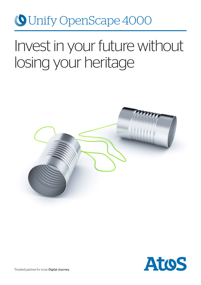# Unify OpenScape 4000

# Invest in your future without losing your heritage



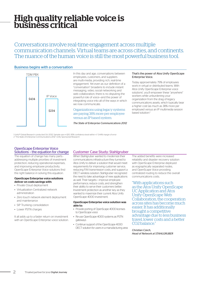# High quality reliable voice is business critical

Conversations involve real-time engagement across multiple communication channels. Virtual teams are across cities, and continents. The nuance of the human voice is still the most powerful business tool.

## Business begins with a conversation



In this day and age, conversations between employees, customers, and suppliers are multi-media, providing rich, real-time engagement. Yet even as our definition of a "conversation" broadens to include instant messaging, video, social networking and web collaboration, there is no disputing the powerful role of voice—and the power of integrating voice into all of the ways in which we now communicate.

Organizations using legacy systems are paying 38% more per employee versus an IP based system.

*The State of Enterprise Communications 2012*

### That's the power of Atos Unify OpenScape Enterprise Voice.

Today approximately 79% of employees work in virtual or distributed teams. With Atos Unify OpenScape Enterprise voice solutions<sup>1</sup>, you'll empower these "anywhere" workers while unburdening your organization from the drag of legacy communications assets, which typically bear a higher cost (as much as 38% more per employee) versus an IP multimedia session based solution<sup>2</sup>

1 Unify® Global Research conducted Oct 2012. Sample size n=320, 95% confidence level within +/- 5.44% margin of error<br>2 "The State of Enterprise Communications 2012" Unify Sponsored Research

# OpenScape Enterprise Voice

The equation of change has many parts addressing multiple priorities of investment protection, reducing operational expenses, and improving employee productivity. OpenScape Enterprise Voice solutions find the right balance in solving this equation.

### OpenScape Enterprise voice solutions deliver on costs savings with:

- Private Cloud deployment
- Virtualization Centralized network administration
- Zero touch network element deployment and maintenance
- SIP Trunking consolidation
- Lower PSTN charges

2

It all adds up to a faster return on investment with an OpenScape Enterprise voice solution.

# Solutions - the equation for change Customer Case Study: Stahlgruber

When Stahlgruber wanted to modernize their communications infrastructure they turned to Atos Unify to deliver a solution that would meet requirements for improving customer service, reducing FAX transmission costs, and support a DECT wireless solution. Stahlgruber recognized the need to take advantage of new applications as well. Their targets— improve employee performance, reduce costs, and strengthen their ability to serve their customers better. Investment protection as another key as they wanted to maximize their current Atos Unify OpenScape 4000 investment.

### OpenScape Enterprise voice solution was able to:

- Provide porting of OpenScape 4000 licenses to OpenScape voice
- Re-use OpenScape 4000 systems as PSTN gateways
- Continue support of the OpenScape 4000 DECT solution for users in a manufacturing area

The added benefits were increased reliability and disaster recovery solution with OpenScape Enterprise deployed as eographically separated nodes, and OpenScape Voice providing centralized routing to reduce the overall communications costs.

"With applications such as the Atos Unify OpenScape UC Application and Atos Unify OpenScape Web Collaboration, the cooperation across sites has become much easier. It has additionally brought a competitive advantage due to less business travel, lower costs and a better CO2 balance."

*Christian Czech, Head of Network at STAHLGRUBER*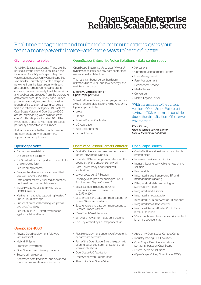# OpenScape Enterprise Reliable, Scalable, Secure

# Real-time engagement and multimedia communications gives your team a more powerful voice—and more ways to be productive.

Reliability. Scalability. Security. These are the keys to a strong voice solution. This is the foundation for all OpenScape Enterprise voice solutions. Atos Unify OpenScape Session Border Controller protects enterprise networks from the latest security threats. It also enables remote workers and branch offices to connect securely to all the services and applications provided from the corporate data center. Atos Unify OpenScape Branch provides a robust, feature-rich survivable branch office solution allowing consolidation and retirement of legacy PBX systems. OpenScape Voice and OpenScape 4000 are industry leading voice solutions with over 8 million IP ports installed. 9And the investment is secured with lifetime license portability and Software Assurance.

It all adds up to a better way to deepen the conversation with customers, suppliers and employees.

- Carrier grade reliability
- Unsurpassed scalability
- 100% call fail over support in the event of a single node failure
- Secure billing records
- Geographical redundancy for simplified disaster recovery planning
- Data Center ready, virtualized application deployed on commercial servers
- Industry leading scalability with up to 500,000 users
- Multitenant capable, supporting Hosted / Public Cloud offerings
- Subscription based licensing for "pay as you grow" strategy
- Security built in 3<sup>rd</sup> Party verification against outside attacks

# OpenScape 4000

- Private Cloud deployment (VMware virtualization)
- Hybrid IP System
- Protected investment
- OpenScape Enterprise applications
- Secure billing records
- Addresses both traditional and advanced voice communication requirements

# Giving power to voice OpenScape Enterprise Voice Solutions – data center ready

OpenScape Enterprise Voice uses VMware® hypervisor so it fits into any data center that uses a virtual architecture.

This results in better server hardware utilization (up to 70%) and lower energy and maintenance costs.

### Extensive virtualization of OpenScape portfolio

Virtualization technology is employed across a wide range of applications in the Atos Unify OpenScape Portfolio:

- Voice
- Branch
- Session Border Controller
- UC Application
- Web Collaboration
- Contact Center

## OpenScape Voice **Controller Controller Session Border Controller** OpenScape Branch

- Cost effective and secure communications for the "anywhere" workers
- Extends SIP-based applications beyond the boundary of the enterprise network
- Data Center ready and virtualized application
- Lower costs per SIP Session
- Leverage disruptive technologies like SIP Trunking and Skype Connect™
- Best cost routing options, lowering communications costs by as much as 50% to 80%
- Secure voice and data communications for Home / Remote workforce
- Secure voice and data communications to Remote Branch Offices
- "Zero Touch" maintenance
- SIP-aware firewall for media connections
- Security verified by an independent lab
- Flexible deployment options (software only or hardware software)
- Part of the OpenScape Enterprise portfolio offering advanced communications and team applications
- OpenScape UC Application
- OpenScape Web Collaboration
- Atos Unify OpenScape Video
- Xpressions
- Common Management Platform
- User Management
- Fault Management
- Deployment Service
- Media Server
- Concierge
- Mobile Façade Server

"With the upgrade to the current version of OpenScape Voice, cost savings of 20% were made possib le due to the virtualization of the server environment."

*Klaus Richter, Head of Shared Service Center, Fujitsu Technology Solutions*

- Cost effective and feature rich survivable branch office
- Increased business continuity
- Industry leading survivable remote branch solution
- Feature rich
- Integrated firewall, encrypted SIP and management signaling
- Billing and call detail recording in Survivability mode
- Integrated media server
- Integrated analog adaptor
- Integrated PSTN gateway for PRI support
- Integrated firewall for security
- Integrated Session Border Controller for local SIP trunking
- "Zero Touch" maintenance security verified by an independent lab
- Atos Unify OpenScape Contact Center
- Industry leading DECT solution
- OpenScape Flex Licensing allows portability between OpenScape
- Enterprise voice solutions
- (OpenScape Voice / OpenScape 4000)